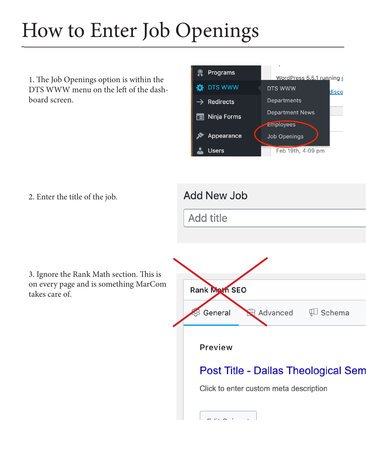## How to Enter Job Openings

1. The Job Openings option is within the DTS WWW menu on the left of the dashboard screen.



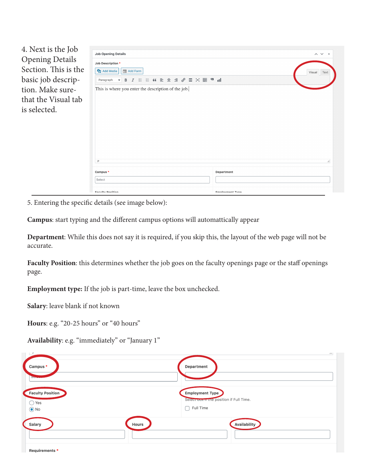| 4. Next is the Job<br><b>Opening Details</b><br>Section. This is the | <b>Job Opening Details</b><br>Job Description *<br><b>91</b> Add Media<br><b>Example 2</b> Add Form                | $\wedge$ $\vee$ $\wedge$<br>Visual Text |  |
|----------------------------------------------------------------------|--------------------------------------------------------------------------------------------------------------------|-----------------------------------------|--|
| basic job descrip-                                                   | <b>« E ± ± ∂ ⊞ × ■</b><br>$\mathbf{a}$ of<br>三<br>這<br>B<br>Paragraph<br>$\overline{I}$<br>$\overline{\mathbf{v}}$ |                                         |  |
| tion. Make sure-                                                     | This is where you enter the description of the job.                                                                |                                         |  |
| that the Visual tab                                                  |                                                                                                                    |                                         |  |
| is selected.                                                         |                                                                                                                    |                                         |  |
|                                                                      | P<br>all.                                                                                                          |                                         |  |
|                                                                      | Campus *<br>Select                                                                                                 | Department                              |  |
|                                                                      | <b>Eaculty Docition</b>                                                                                            | <b>Employment Type</b>                  |  |

5. Entering the specific details (see image below):

**Campus**: start typing and the different campus options will automattically appear

**Department**: While this does not say it is required, if you skip this, the layout of the web page will not be accurate.

**Faculty Position**: this determines whether the job goes on the faculty openings page or the staff openings page.

**Employment type:** If the job is part-time, leave the box unchecked.

**Salary**: leave blank if not known

**Hours**: e.g. "20-25 hours" or "40 hours"

**Availability**: e.g. "immediately" or "January 1"

| <b>F</b><br>Campus *<br>$rac{1}{2}$                     | $\ldots$<br>Department                                                               |
|---------------------------------------------------------|--------------------------------------------------------------------------------------|
| <b>Faculty Position</b><br>$\bigcirc$ Yes<br>$\odot$ No | <b>Employment Type</b><br>Select box if the position if Full Time.<br>Full Time<br>┐ |
| Salary                                                  | Availability<br><b>Hours</b>                                                         |
| Requirements *                                          |                                                                                      |